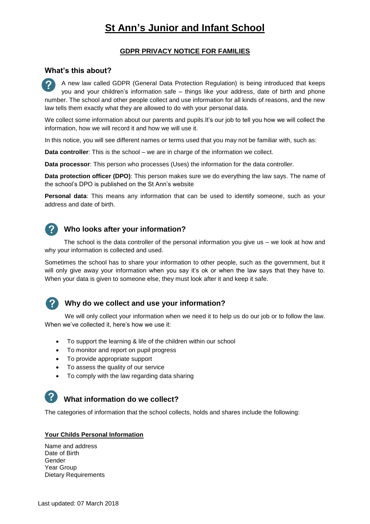# **St Ann's Junior and Infant School**

# **GDPR PRIVACY NOTICE FOR FAMILIES**

# **What's this about?**

A new law called GDPR (General Data Protection Regulation) is being introduced that keeps you and your children's information safe – things like your address, date of birth and phone number. The school and other people collect and use information for all kinds of reasons, and the new law tells them exactly what they are allowed to do with your personal data.

We collect some information about our parents and pupils.It's our job to tell you how we will collect the information, how we will record it and how we will use it.

In this notice, you will see different names or terms used that you may not be familiar with, such as:

**Data controller**: This is the school – we are in charge of the information we collect.

**Data processor**: This person who processes (Uses) the information for the data controller.

**Data protection officer (DPO)**: This person makes sure we do everything the law says. The name of the school's DPO is published on the St Ann's website

**Personal data**: This means any information that can be used to identify someone, such as your address and date of birth.

# 2

# **Who looks after your information?**

The school is the data controller of the personal information you give us – we look at how and why your information is collected and used.

Sometimes the school has to share your information to other people, such as the government, but it will only give away your information when you say it's ok or when the law says that they have to. When your data is given to someone else, they must look after it and keep it safe.



 $\mathbf{P}$ 

## **Why do we collect and use your information?**

We will only collect your information when we need it to help us do our job or to follow the law. When we've collected it, here's how we use it:

- To support the learning & life of the children within our school
- To monitor and report on pupil progress
- To provide appropriate support
- To assess the quality of our service
- To comply with the law regarding data sharing

# **What information do we collect?**

The categories of information that the school collects, holds and shares include the following:

#### **Your Childs Personal Information**

Name and address Date of Birth Gender Year Group Dietary Requirements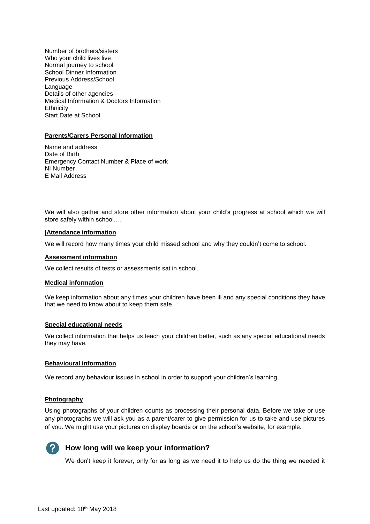Number of brothers/sisters Who your child lives live Normal journey to school School Dinner Information Previous Address/School Language Details of other agencies Medical Information & Doctors Information **Ethnicity** Start Date at School

### **Parents/Carers Personal Information**

Name and address Date of Birth Emergency Contact Number & Place of work NI Number E Mail Address

We will also gather and store other information about your child's progress at school which we will store safely within school….

#### **|Attendance information**

We will record how many times your child missed school and why they couldn't come to school.

#### **Assessment information**

We collect results of tests or assessments sat in school.

#### **Medical information**

We keep information about any times your children have been ill and any special conditions they have that we need to know about to keep them safe.

#### **Special educational needs**

We collect information that helps us teach your children better, such as any special educational needs they may have.

#### **Behavioural information**

We record any behaviour issues in school in order to support your children's learning.

#### **Photography**

Using photographs of your children counts as processing their personal data. Before we take or use any photographs we will ask you as a parent/carer to give permission for us to take and use pictures of you. We might use your pictures on display boards or on the school's website, for example.



# **How long will we keep your information?**

We don't keep it forever, only for as long as we need it to help us do the thing we needed it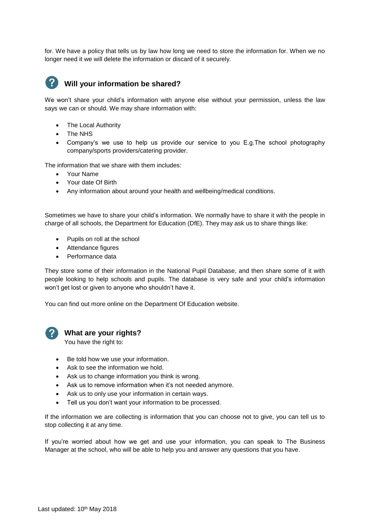for. We have a policy that tells us by law how long we need to store the information for. When we no longer need it we will delete the information or discard of it securely.



# **Will your information be shared?**

We won't share your child's information with anyone else without your permission, unless the law says we can or should. We may share information with:

- The Local Authority
- The NHS
- Company's we use to help us provide our service to you E.g.The school photography company/sports providers/catering provider.

The information that we share with them includes:

- Your Name
- Your date Of Birth
- Any information about around your health and wellbeing/medical conditions.

Sometimes we have to share your child's information. We normally have to share it with the people in charge of all schools, the Department for Education (DfE). They may ask us to share things like:

- Pupils on roll at the school
- Attendance figures
- Performance data

They store some of their information in the National Pupil Database, and then share some of it with people looking to help schools and pupils. The database is very safe and your child's information won't get lost or given to anyone who shouldn't have it.

You can find out more online on the Department Of Education website.



### **What are your rights?**

You have the right to:

- Be told how we use your information.
- Ask to see the information we hold.
- Ask us to change information you think is wrong.
- Ask us to remove information when it's not needed anymore.
- Ask us to only use your information in certain ways.
- Tell us you don't want your information to be processed.

If the information we are collecting is information that you can choose not to give, you can tell us to stop collecting it at any time.

If you're worried about how we get and use your information, you can speak to The Business Manager at the school, who will be able to help you and answer any questions that you have.